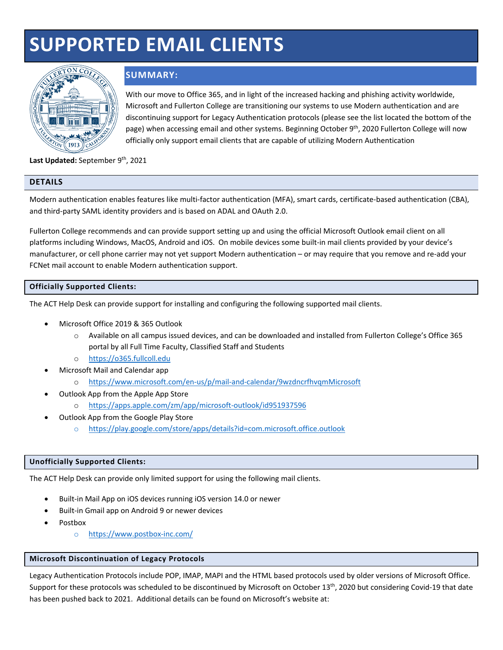# **SUPPORTED EMAIL CLIENTS**



# **SUMMARY:**

With our move to Office 365, and in light of the increased hacking and phishing activity worldwide, Microsoft and Fullerton College are transitioning our systems to use Modern authentication and are discontinuing support for Legacy Authentication protocols (please see the list located the bottom of the page) when accessing email and other systems. Beginning October 9<sup>th</sup>, 2020 Fullerton College will now officially only support email clients that are capable of utilizing Modern Authentication

Last Updated: September 9<sup>th</sup>, 2021

# **DETAILS**

Modern authentication enables features like multi-factor authentication (MFA), smart cards, certificate-based authentication (CBA), and third-party SAML identity providers and is based on ADAL and OAuth 2.0.

Fullerton College recommends and can provide support setting up and using the official Microsoft Outlook email client on all platforms including Windows, MacOS, Android and iOS. On mobile devices some built-in mail clients provided by your device's manufacturer, or cell phone carrier may not yet support Modern authentication – or may require that you remove and re-add your FCNet mail account to enable Modern authentication support.

# **Officially Supported Clients:**

The ACT Help Desk can provide support for installing and configuring the following supported mail clients.

- Microsoft Office 2019 & 365 Outlook
	- o Available on all campus issued devices, and can be downloaded and installed from Fullerton College's Office 365 portal by all Full Time Faculty, Classified Staff and Students
	- o [https://o365.fullcoll.edu](https://o365.fullcoll.edu/)
- Microsoft Mail and Calendar app
	- o <https://www.microsoft.com/en-us/p/mail-and-calendar/9wzdncrfhvqmMicrosoft>
- Outlook App from the Apple App Store
	- o <https://apps.apple.com/zm/app/microsoft-outlook/id951937596>
- Outlook App from the Google Play Store
	- o <https://play.google.com/store/apps/details?id=com.microsoft.office.outlook>

#### **Unofficially Supported Clients:**

The ACT Help Desk can provide only limited support for using the following mail clients.

- Built-in Mail App on iOS devices running iOS version 14.0 or newer
- Built-in Gmail app on Android 9 or newer devices
- Postbox
	- o <https://www.postbox-inc.com/>

# **Microsoft Discontinuation of Legacy Protocols**

Legacy Authentication Protocols include POP, IMAP, MAPI and the HTML based protocols used by older versions of Microsoft Office. Support for these protocols was scheduled to be discontinued by Microsoft on October 13<sup>th</sup>, 2020 but considering Covid-19 that date has been pushed back to 2021. Additional details can be found on Microsoft's website at: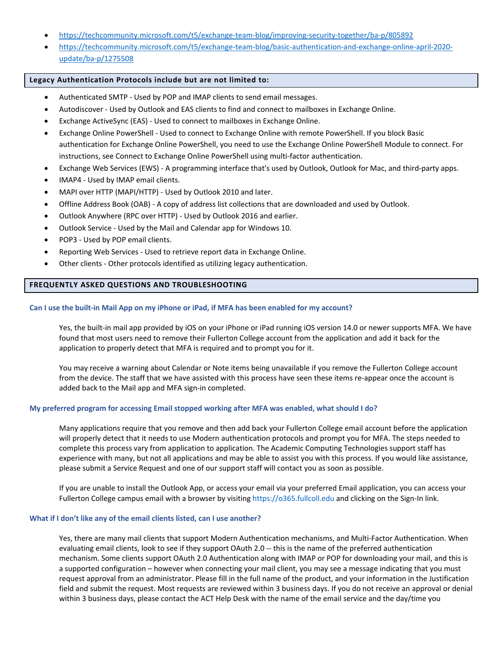- <https://techcommunity.microsoft.com/t5/exchange-team-blog/improving-security-together/ba-p/805892>
- [https://techcommunity.microsoft.com/t5/exchange-team-blog/basic-authentication-and-exchange-online-april-2020](https://techcommunity.microsoft.com/t5/exchange-team-blog/basic-authentication-and-exchange-online-april-2020-update/ba-p/1275508) [update/ba-p/1275508](https://techcommunity.microsoft.com/t5/exchange-team-blog/basic-authentication-and-exchange-online-april-2020-update/ba-p/1275508)

#### **Legacy Authentication Protocols include but are not limited to:**

- Authenticated SMTP Used by POP and IMAP clients to send email messages.
- Autodiscover Used by Outlook and EAS clients to find and connect to mailboxes in Exchange Online.
- Exchange ActiveSync (EAS) Used to connect to mailboxes in Exchange Online.
- Exchange Online PowerShell Used to connect to Exchange Online with remote PowerShell. If you block Basic authentication for Exchange Online PowerShell, you need to use the Exchange Online PowerShell Module to connect. For instructions, see [Connect to Exchange Online PowerShell using multi-factor authentication.](https://nam10.safelinks.protection.outlook.com/?url=https%3A%2F%2Fdocs.microsoft.com%2Fen-us%2Fpowershell%2Fexchange%2Fexchange-online%2Fconnect-to-exchange-online-powershell%2Fmfa-connect-to-exchange-online-powershell&data=04%7C01%7CYColeman%40fullcoll.edu%7C1b4ac85bf34e422ad5f908d967f58079%7Cf8b4752f8a294d0e97b5f7428505ab38%7C1%7C0%7C637655126392190925%7CUnknown%7CTWFpbGZsb3d8eyJWIjoiMC4wLjAwMDAiLCJQIjoiV2luMzIiLCJBTiI6Ik1haWwiLCJXVCI6Mn0%3D%7C1000&sdata=%2B%2Btx%2FyWzQTqiRH3YQoEPvFf86WysPVYSZ6ci4JekqrI%3D&reserved=0)
- Exchange Web Services (EWS) A programming interface that's used by Outlook, Outlook for Mac, and third-party apps.
- IMAP4 Used by IMAP email clients.
- MAPI over HTTP (MAPI/HTTP) Used by Outlook 2010 and later.
- Offline Address Book (OAB) A copy of address list collections that are downloaded and used by Outlook.
- Outlook Anywhere (RPC over HTTP) Used by Outlook 2016 and earlier.
- Outlook Service Used by the Mail and Calendar app for Windows 10.
- POP3 Used by POP email clients.
- Reporting Web Services Used to retrieve report data in Exchange Online.
- Other clients Other protocols identified as utilizing legacy authentication.

## **FREQUENTLY ASKED QUESTIONS AND TROUBLESHOOTING**

#### **Can I use the built-in Mail App on my iPhone or iPad, if MFA has been enabled for my account?**

Yes, the built-in mail app provided by iOS on your iPhone or iPad running iOS version 14.0 or newer supports MFA. We have found that most users need to remove their Fullerton College account from the application and add it back for the application to properly detect that MFA is required and to prompt you for it.

You may receive a warning about Calendar or Note items being unavailable if you remove the Fullerton College account from the device. The staff that we have assisted with this process have seen these items re-appear once the account is added back to the Mail app and MFA sign-in completed.

#### **My preferred program for accessing Email stopped working after MFA was enabled, what should I do?**

Many applications require that you remove and then add back your Fullerton College email account before the application will properly detect that it needs to use Modern authentication protocols and prompt you for MFA. The steps needed to complete this process vary from application to application. The Academic Computing Technologies support staff has experience with many, but not all applications and may be able to assist you with this process. If you would like assistance, please submit a Service Request and one of our support staff will contact you as soon as possible.

If you are unable to install the Outlook App, or access your email via your preferred Email application, you can access your Fullerton College campus email with a browser by visiting https://o365.fullcoll.edu and clicking on the Sign-In link.

#### **What if I don't like any of the email clients listed, can I use another?**

Yes, there are many mail clients that support Modern Authentication mechanisms, and Multi-Factor Authentication. When evaluating email clients, look to see if they support OAuth 2.0 -- this is the name of the preferred authentication mechanism. Some clients support OAuth 2.0 Authentication along with IMAP or POP for downloading your mail, and this is a supported configuration – however when connecting your mail client, you may see a message indicating that you must request approval from an administrator. Please fill in the full name of the product, and your information in the Justification field and submit the request. Most requests are reviewed within 3 business days. If you do not receive an approval or denial within 3 business days, please contact the ACT Help Desk with the name of the email service and the day/time you